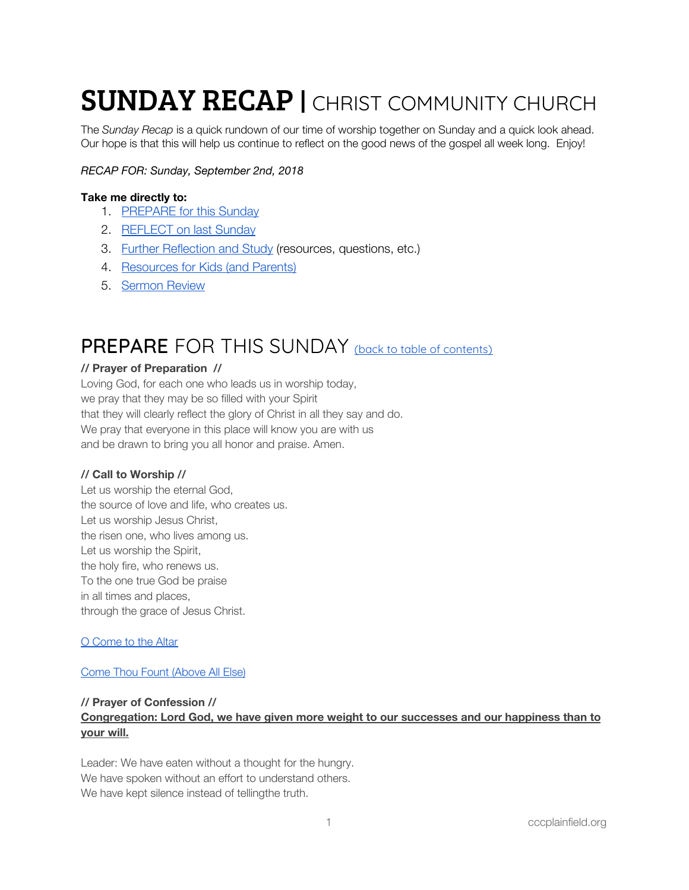# **SUNDAY RECAP | CHRIST COMMUNITY CHURCH**

The *Sunday Recap* is a quick rundown of our time of worship together on Sunday and a quick look ahead. Our hope is that this will help us continue to reflect on the good news of the gospel all week long. Enjoy!

# *RECAP FOR: Sunday, September 2nd, 2018*

# <span id="page-0-1"></span>**Take me directly to:**

- 1. [PREPARE](#page-0-0) for this Sunday
- 2. [REFLECT](#page-1-0) on last Sunday
- 3. Further [Reflection](#page-3-0) and Study (resources, questions, etc.)
- 4. [Resources](#page-4-0) for Kids (and Parents)
- 5. [Sermon](#page-5-0) Review

# <span id="page-0-0"></span>PREPARE FOR THIS SUNDAY (back to table of [contents\)](#page-0-1)

### **// Prayer of Preparation //**

Loving God, for each one who leads us in worship today, we pray that they may be so filled with your Spirit that they will clearly reflect the glory of Christ in all they say and do. We pray that everyone in this place will know you are with us and be drawn to bring you all honor and praise. Amen.

### **// Call to Worship //**

Let us worship the eternal God, the source of love and life, who creates us. Let us worship Jesus Christ, the risen one, who lives among us. Let us worship the Spirit, the holy fire, who renews us. To the one true God be praise in all times and places, through the grace of Jesus Christ.

### O [Come](https://open.spotify.com/track/13Nn3hJ8JZq6dWHk2v62ai?si=J_-GVEJOSVe3OECPjIKHCw) to the Altar

### Come Thou Fount [\(Above](https://open.spotify.com/track/5yZcK6LIBxD6Ia5vYuEr6v?si=oqEl5mgZTLCennVr0MxakQ) All Else)

### **// Prayer of Confession //**

# **Congregation: Lord God, we have given more weight to our successes and our happiness than to your will.**

Leader: We have eaten without a thought for the hungry. We have spoken without an effort to understand others. We have kept silence instead of tellingthe truth.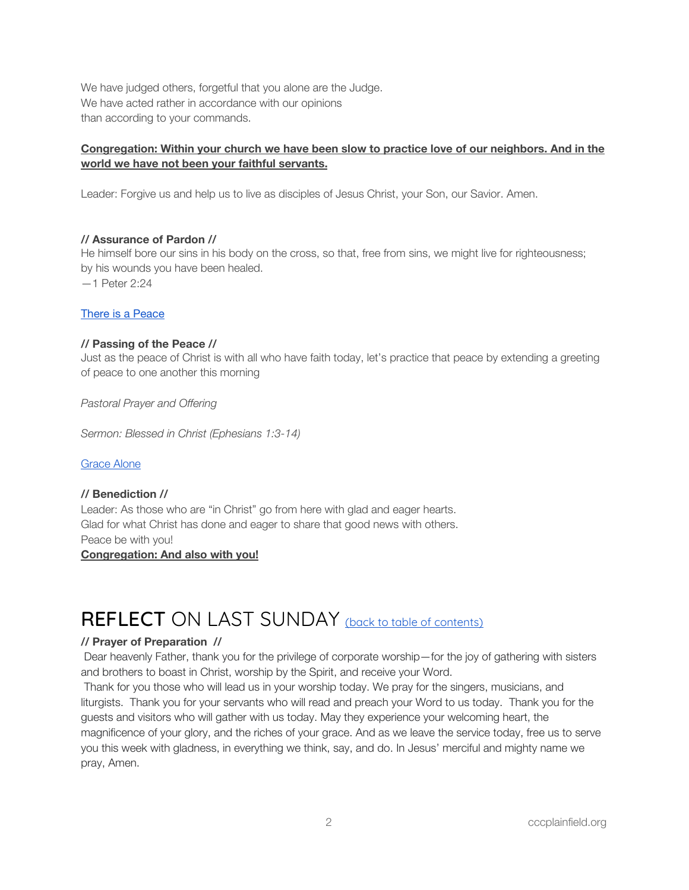We have judged others, forgetful that you alone are the Judge. We have acted rather in accordance with our opinions than according to your commands.

# **Congregation: Within your church we have been slow to practice love of our neighbors. And in the world we have not been your faithful servants.**

Leader: Forgive us and help us to live as disciples of Jesus Christ, your Son, our Savior. Amen.

# **// Assurance of Pardon //**

He himself bore our sins in his body on the cross, so that, free from sins, we might live for righteousness; by his wounds you have been healed.

—1 Peter 2:24

# There is a [Peace](https://open.spotify.com/track/1CuO4rRxKYLxfKj85CQZNY?si=JaNHbGx6QpGUqG9cnpvpEQ)

### **// Passing of the Peace //**

Just as the peace of Christ is with all who have faith today, let's practice that peace by extending a greeting of peace to one another this morning

*Pastoral Prayer and Offering*

*Sermon: Blessed in Christ (Ephesians 1:3-14)*

# [Grace](https://open.spotify.com/track/4AMRgsSvJZJS7N71AM3px2?si=90VxNOOcSyyRXMwVWPPXtg) Alone

# **// Benediction //**

Leader: As those who are "in Christ" go from here with glad and eager hearts. Glad for what Christ has done and eager to share that good news with others. Peace be with you!

## **Congregation: And also with you!**

# <span id="page-1-0"></span>REFLECT ON LAST SUNDAY (back to table of [contents\)](#page-0-1)

### **// Prayer of Preparation //**

Dear heavenly Father, thank you for the privilege of corporate worship—for the joy of gathering with sisters and brothers to boast in Christ, worship by the Spirit, and receive your Word.

Thank for you those who will lead us in your worship today. We pray for the singers, musicians, and liturgists. Thank you for your servants who will read and preach your Word to us today. Thank you for the guests and visitors who will gather with us today. May they experience your welcoming heart, the magnificence of your glory, and the riches of your grace. And as we leave the service today, free us to serve you this week with gladness, in everything we think, say, and do. In Jesus' merciful and mighty name we pray, Amen.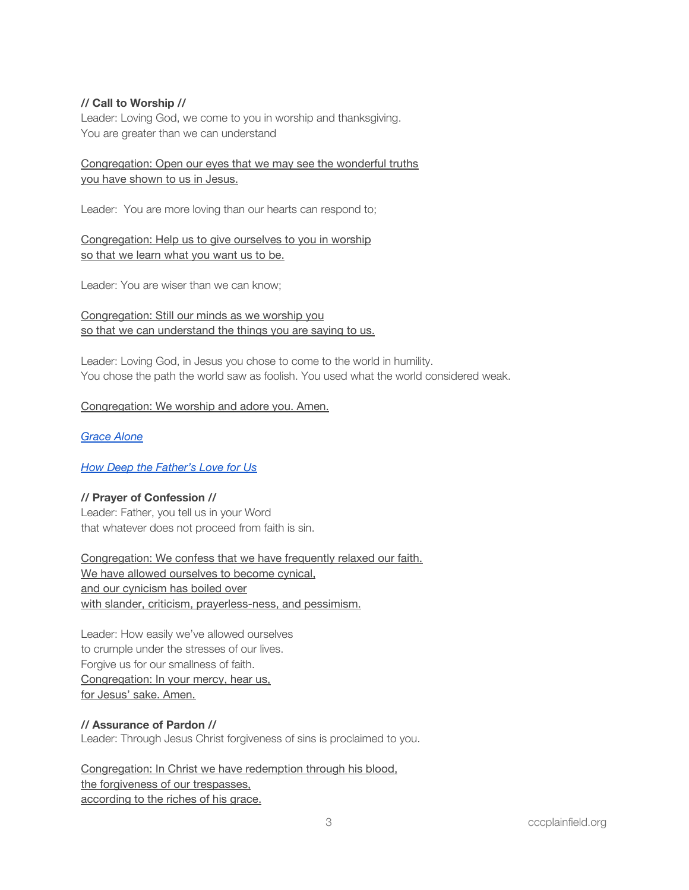# **// Call to Worship //**

Leader: Loving God, we come to you in worship and thanksgiving. You are greater than we can understand

# Congregation: Open our eyes that we may see the wonderful truths you have shown to us in Jesus.

Leader: You are more loving than our hearts can respond to;

Congregation: Help us to give ourselves to you in worship so that we learn what you want us to be.

Leader: You are wiser than we can know;

Congregation: Still our minds as we worship you so that we can understand the things you are saying to us.

Leader: Loving God, in Jesus you chose to come to the world in humility. You chose the path the world saw as foolish. You used what the world considered weak.

# Congregation: We worship and adore you. Amen.

# *[Grace](https://open.spotify.com/track/4AMRgsSvJZJS7N71AM3px2?si=oyvXcWd0RP2dz1ZmuCK-Pg) Alone*

# *How Deep the [Father's](https://open.spotify.com/track/2MH3oyhYwJWkOlK8nlHbUm?si=qS2sGpDaTRqOXwDIVMEqKQ) Love for Us*

### **// Prayer of Confession //**

Leader: Father, you tell us in your Word that whatever does not proceed from faith is sin.

Congregation: We confess that we have frequently relaxed our faith. We have allowed ourselves to become cynical, and our cynicism has boiled over with slander, criticism, prayerless-ness, and pessimism.

Leader: How easily we've allowed ourselves to crumple under the stresses of our lives. Forgive us for our smallness of faith. Congregation: In your mercy, hear us, for Jesus' sake. Amen.

### **// Assurance of Pardon //**

Leader: Through Jesus Christ forgiveness of sins is proclaimed to you.

Congregation: In Christ we have redemption through his blood, the forgiveness of our trespasses, according to the riches of his grace.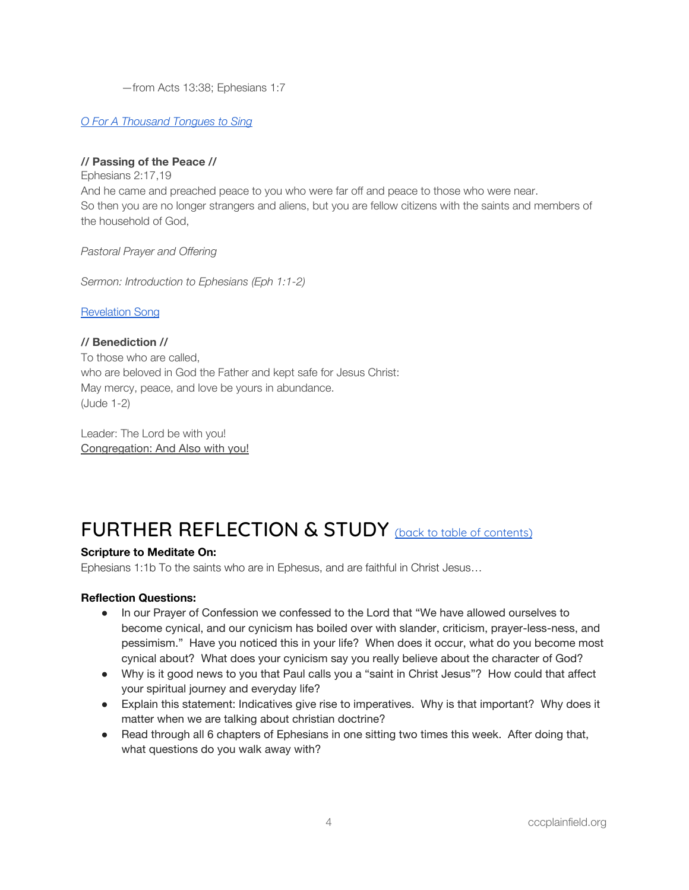—from Acts 13:38; Ephesians 1:7

# *O For A [Thousand](https://open.spotify.com/track/2ZicbtrMnz97j3WyFf4So4?si=TRmz0QtrT0OKv5qs5EE6BA) Tongues to Sing*

# **// Passing of the Peace //**

Ephesians 2:17,19 And he came and preached peace to you who were far off and peace to those who were near. So then you are no longer strangers and aliens, but you are fellow citizens with the saints and members of the household of God,

*Pastoral Prayer and Offering*

*Sermon: Introduction to Ephesians (Eph 1:1-2)*

[Revelation](https://open.spotify.com/track/0x37pd7WllmDTIMm4T0UaN?si=Be6yau-DQjmlYxx4haMWnA) Song

# **// Benediction //**

To those who are called, who are beloved in God the Father and kept safe for Jesus Christ: May mercy, peace, and love be yours in abundance. (Jude 1-2)

Leader: The Lord be with you! Congregation: And Also with you!

# <span id="page-3-0"></span>FURTHER REFLECTION & STUDY (back to table of [contents\)](#page-0-1)

# **Scripture to Meditate On:**

Ephesians 1:1b To the saints who are in Ephesus, and are faithful in Christ Jesus…

# **Reflection Questions:**

- In our Prayer of Confession we confessed to the Lord that "We have allowed ourselves to become cynical, and our cynicism has boiled over with slander, criticism, prayer-less-ness, and pessimism." Have you noticed this in your life? When does it occur, what do you become most cynical about? What does your cynicism say you really believe about the character of God?
- Why is it good news to you that Paul calls you a "saint in Christ Jesus"? How could that affect your spiritual journey and everyday life?
- Explain this statement: Indicatives give rise to imperatives. Why is that important? Why does it matter when we are talking about christian doctrine?
- Read through all 6 chapters of Ephesians in one sitting two times this week. After doing that, what questions do you walk away with?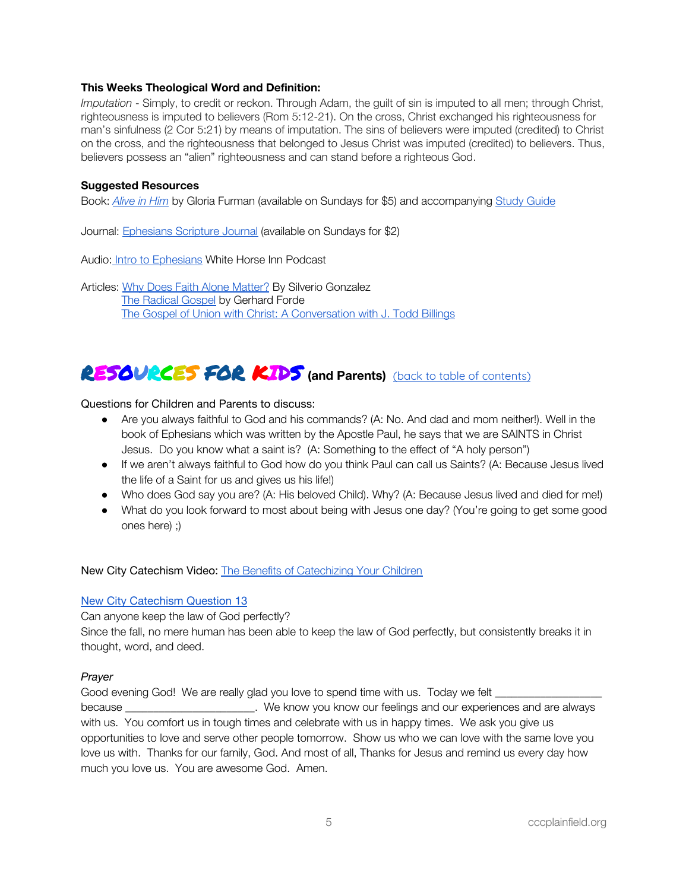# **This Weeks Theological Word and Definition:**

*Imputation* - Simply, to credit or reckon. Through Adam, the guilt of sin is imputed to all men; through Christ, righteousness is imputed to believers (Rom 5:12-21). On the cross, Christ exchanged his righteousness for man's sinfulness (2 Cor 5:21) by means of imputation. The sins of believers were imputed (credited) to Christ on the cross, and the righteousness that belonged to Jesus Christ was imputed (credited) to believers. Thus, believers possess an "alien" righteousness and can stand before a righteous God.

# **Suggested Resources**

Book: *[Alive](https://www.crossway.org/books/alive-in-him-tpb/) in Him* by Gloria Furman (available on Sundays for \$5) and accompanying Study [Guide](https://static.crossway.org/excerpt/alive-in-him-study-guide.pdf)

Journal: [Ephesians](https://www.crossway.org/bibles/esv-scripture-journal-ephesians-tpb/) Scripture Journal (available on Sundays for \$2)

Audio: Intro to [Ephesians](https://s3-us-west-2.amazonaws.com/whi-radio/whiarchives/2018whi1397jan14.mp3) White Horse Inn Podcast

Articles: Why Does Faith Alone [Matter?](https://corechristianity.com/resource-library/articles/why-does-faith-alone-matter) By Silverio Gonzalez The [Radical](https://www.christholdfast.org/blog/the-radical-gospel) Gospel by Gerhard Forde The Gospel of Union with Christ: A [Conversation](https://www.thegospelcoalition.org/blogs/trevin-wax/the-gospel-of-union-with-christ-a-conversation-with-j-todd-billings/) with J. Todd Billings

# <span id="page-4-0"></span>RESOURCES FOR KIDS **(and Parents)** (back to table of [contents\)](#page-0-1)

Questions for Children and Parents to discuss:

- Are you always faithful to God and his commands? (A: No. And dad and mom neither!). Well in the book of Ephesians which was written by the Apostle Paul, he says that we are SAINTS in Christ Jesus. Do you know what a saint is? (A: Something to the effect of "A holy person")
- If we aren't always faithful to God how do you think Paul can call us Saints? (A: Because Jesus lived the life of a Saint for us and gives us his life!)
- Who does God say you are? (A: His beloved Child). Why? (A: Because Jesus lived and died for me!)
- What do you look forward to most about being with Jesus one day? (You're going to get some good ones here) ;)

New City Catechism Video: The Benefits of [Catechizing](https://vimeo.com/203469783) Your Children

### New City [Catechism](http://newcitycatechism.com/new-city-catechism/#13) Question 13

Can anyone keep the law of God perfectly?

Since the fall, no mere human has been able to keep the law of God perfectly, but consistently breaks it in thought, word, and deed.

# *Prayer*

Good evening God! We are really glad you love to spend time with us. Today we felt \_\_\_\_\_\_\_\_\_\_\_\_\_\_\_\_\_\_\_ because **Exercise 20** because the same of the know you know our feelings and our experiences and are always with us. You comfort us in tough times and celebrate with us in happy times. We ask you give us opportunities to love and serve other people tomorrow. Show us who we can love with the same love you love us with. Thanks for our family, God. And most of all, Thanks for Jesus and remind us every day how much you love us. You are awesome God. Amen.